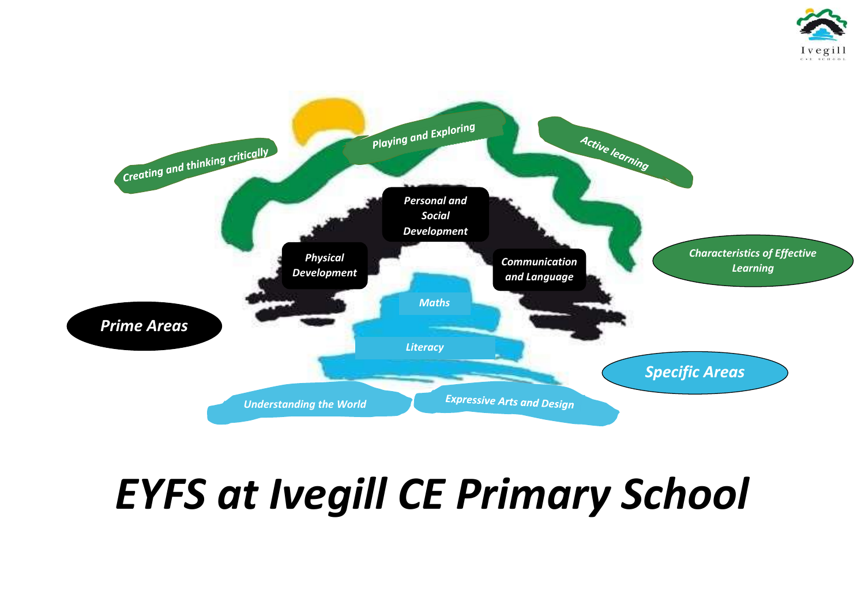# *EYFS at Ivegill CE Primary School*





# *Specific Areas*

*Areas*

## *Characteristics of Effective Learning*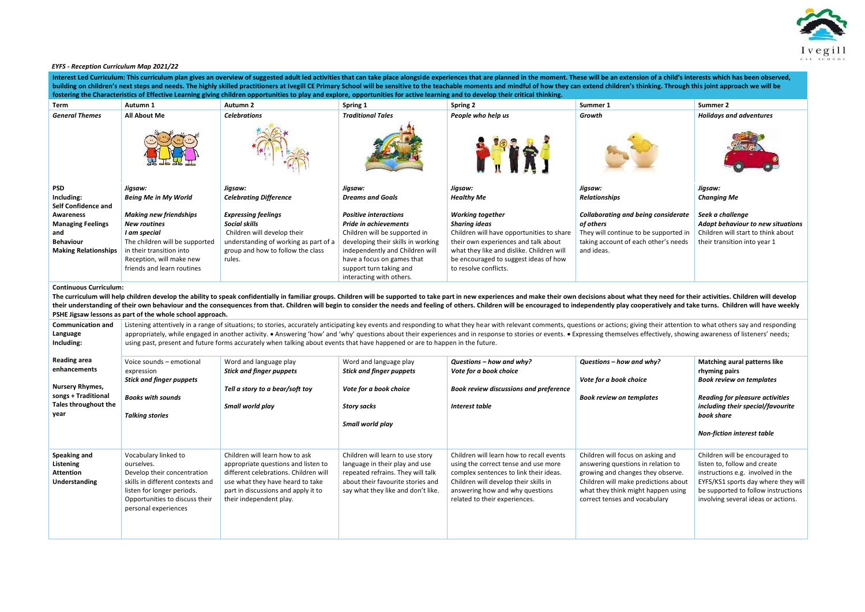## *EYFS - Reception Curriculum Map 2021/22*

| Interest Led Curriculum: This curriculum plan gives an overview of suggested adult led activities that can take place alongside experiences that are planned in the moment. These will be an extension of a child's interests<br>building on children's next steps and needs. The highly skilled practitioners at Ivegill CE Primary School will be sensitive to the teachable moments and mindful of how they can extend children's thinking. Through this joi |                                                                                                                                                                                               |                                                                                                                                                                                                                      |                                                                                                                                                                                                                                                                                                                                                                                                                                                                                                                                                                                                  |                                                                                                                                                                                                                                                                                                                                                                                                                                                                  |                                                                                                                                                                                                                             |                                                                                                                                                                                                                          |  |  |
|-----------------------------------------------------------------------------------------------------------------------------------------------------------------------------------------------------------------------------------------------------------------------------------------------------------------------------------------------------------------------------------------------------------------------------------------------------------------|-----------------------------------------------------------------------------------------------------------------------------------------------------------------------------------------------|----------------------------------------------------------------------------------------------------------------------------------------------------------------------------------------------------------------------|--------------------------------------------------------------------------------------------------------------------------------------------------------------------------------------------------------------------------------------------------------------------------------------------------------------------------------------------------------------------------------------------------------------------------------------------------------------------------------------------------------------------------------------------------------------------------------------------------|------------------------------------------------------------------------------------------------------------------------------------------------------------------------------------------------------------------------------------------------------------------------------------------------------------------------------------------------------------------------------------------------------------------------------------------------------------------|-----------------------------------------------------------------------------------------------------------------------------------------------------------------------------------------------------------------------------|--------------------------------------------------------------------------------------------------------------------------------------------------------------------------------------------------------------------------|--|--|
| fostering the Characteristics of Effective Learning giving children opportunities to play and explore, opportunities for active learning and to develop their critical thinking.                                                                                                                                                                                                                                                                                |                                                                                                                                                                                               |                                                                                                                                                                                                                      |                                                                                                                                                                                                                                                                                                                                                                                                                                                                                                                                                                                                  |                                                                                                                                                                                                                                                                                                                                                                                                                                                                  |                                                                                                                                                                                                                             |                                                                                                                                                                                                                          |  |  |
| Term                                                                                                                                                                                                                                                                                                                                                                                                                                                            | Autumn 1                                                                                                                                                                                      | Autumn 2                                                                                                                                                                                                             | Spring 1                                                                                                                                                                                                                                                                                                                                                                                                                                                                                                                                                                                         | <b>Spring 2</b>                                                                                                                                                                                                                                                                                                                                                                                                                                                  | Summer 1                                                                                                                                                                                                                    | Summer 2                                                                                                                                                                                                                 |  |  |
| <b>General Themes</b>                                                                                                                                                                                                                                                                                                                                                                                                                                           | <b>All About Me</b>                                                                                                                                                                           | <b>Celebrations</b>                                                                                                                                                                                                  | <b>Traditional Tales</b>                                                                                                                                                                                                                                                                                                                                                                                                                                                                                                                                                                         | People who help us                                                                                                                                                                                                                                                                                                                                                                                                                                               | Growth                                                                                                                                                                                                                      | <b>Holidays and adventures</b>                                                                                                                                                                                           |  |  |
| <b>PSD</b><br>Including:<br><b>Self Confidence and</b>                                                                                                                                                                                                                                                                                                                                                                                                          | Jigsaw:<br><b>Being Me in My World</b>                                                                                                                                                        | Jigsaw:<br><b>Celebrating Difference</b>                                                                                                                                                                             | Jigsaw:<br><b>Dreams and Goals</b>                                                                                                                                                                                                                                                                                                                                                                                                                                                                                                                                                               | Jigsaw:<br><b>Healthy Me</b>                                                                                                                                                                                                                                                                                                                                                                                                                                     | Jigsaw:<br><b>Relationships</b>                                                                                                                                                                                             | Jigsaw:<br><b>Changing Me</b>                                                                                                                                                                                            |  |  |
| Awareness<br><b>Managing Feelings</b><br>and<br><b>Behaviour</b><br><b>Making Relationships</b>                                                                                                                                                                                                                                                                                                                                                                 | <b>Making new friendships</b><br><b>New routines</b><br>I am special<br>The children will be supported<br>in their transition into<br>Reception, will make new<br>friends and learn routines  | <b>Expressing feelings</b><br><b>Social skills</b><br>Children will develop their<br>understanding of working as part of a<br>group and how to follow the class<br>rules.                                            | <b>Positive interactions</b><br><b>Pride in achievements</b><br>Children will be supported in<br>developing their skills in working<br>independently and Children will<br>have a focus on games that<br>support turn taking and<br>interacting with others.                                                                                                                                                                                                                                                                                                                                      | <b>Working together</b><br><b>Sharing ideas</b><br>Children will have opportunities to share<br>their own experiences and talk about<br>what they like and dislike. Children will<br>be encouraged to suggest ideas of how<br>to resolve conflicts.                                                                                                                                                                                                              | <b>Collaborating and being considerate</b><br>of others<br>They will continue to be supported in<br>taking account of each other's needs<br>and ideas.                                                                      | Seek a challenge<br>Adapt behaviour to new situations<br>Children will start to think about<br>their transition into year 1                                                                                              |  |  |
| <b>Continuous Curriculum:</b>                                                                                                                                                                                                                                                                                                                                                                                                                                   | PSHE Jigsaw lessons as part of the whole school approach.                                                                                                                                     |                                                                                                                                                                                                                      |                                                                                                                                                                                                                                                                                                                                                                                                                                                                                                                                                                                                  | The curriculum will help children develop the ability to speak confidentially in familiar groups. Children will be supported to take part in new experiences and make their own decisions about what they need for their activ<br>their understanding of their own behaviour and the consequences from that. Children will begin to consider the needs and feeling of others. Children will be encouraged to independently play cooperatively and take turns. Ch |                                                                                                                                                                                                                             |                                                                                                                                                                                                                          |  |  |
| <b>Communication and</b><br>Language<br>Including:                                                                                                                                                                                                                                                                                                                                                                                                              |                                                                                                                                                                                               |                                                                                                                                                                                                                      | Listening attentively in a range of situations; to stories, accurately anticipating key events and responding to what they hear with relevant comments, questions or actions; giving their attention to what others say and re<br>appropriately, while engaged in another activity. • Answering 'how' and 'why' questions about their experiences and in response to stories or events. • Expressing themselves effectively, showing awareness of listeners' nee<br>using past, present and future forms accurately when talking about events that have happened or are to happen in the future. |                                                                                                                                                                                                                                                                                                                                                                                                                                                                  |                                                                                                                                                                                                                             |                                                                                                                                                                                                                          |  |  |
| <b>Reading area</b><br>enhancements                                                                                                                                                                                                                                                                                                                                                                                                                             | Voice sounds - emotional<br>expression<br><b>Stick and finger puppets</b>                                                                                                                     | Word and language play<br><b>Stick and finger puppets</b>                                                                                                                                                            | Word and language play<br><b>Stick and finger puppets</b>                                                                                                                                                                                                                                                                                                                                                                                                                                                                                                                                        | Questions - how and why?<br>Vote for a book choice                                                                                                                                                                                                                                                                                                                                                                                                               | Questions - how and why?<br>Vote for a book choice                                                                                                                                                                          | <b>Matching aural patterns like</b><br>rhyming pairs<br><b>Book review on templates</b>                                                                                                                                  |  |  |
| <b>Nursery Rhymes,</b><br>songs + Traditional                                                                                                                                                                                                                                                                                                                                                                                                                   | <b>Books with sounds</b>                                                                                                                                                                      | Tell a story to a bear/soft toy                                                                                                                                                                                      | Vote for a book choice                                                                                                                                                                                                                                                                                                                                                                                                                                                                                                                                                                           | <b>Book review discussions and preference</b>                                                                                                                                                                                                                                                                                                                                                                                                                    | <b>Book review on templates</b>                                                                                                                                                                                             | <b>Reading for pleasure activities</b>                                                                                                                                                                                   |  |  |
| Tales throughout the<br>year                                                                                                                                                                                                                                                                                                                                                                                                                                    | <b>Talking stories</b>                                                                                                                                                                        | Small world play                                                                                                                                                                                                     | <b>Story sacks</b><br>Small world play                                                                                                                                                                                                                                                                                                                                                                                                                                                                                                                                                           | <b>Interest table</b>                                                                                                                                                                                                                                                                                                                                                                                                                                            |                                                                                                                                                                                                                             | including their special/favourite<br>book share                                                                                                                                                                          |  |  |
|                                                                                                                                                                                                                                                                                                                                                                                                                                                                 |                                                                                                                                                                                               |                                                                                                                                                                                                                      |                                                                                                                                                                                                                                                                                                                                                                                                                                                                                                                                                                                                  |                                                                                                                                                                                                                                                                                                                                                                                                                                                                  |                                                                                                                                                                                                                             | <b>Non-fiction interest table</b>                                                                                                                                                                                        |  |  |
| Speaking and<br>Listening<br><b>Attention</b><br><b>Understanding</b>                                                                                                                                                                                                                                                                                                                                                                                           | Vocabulary linked to<br>ourselves.<br>Develop their concentration<br>skills in different contexts and<br>listen for longer periods.<br>Opportunities to discuss their<br>personal experiences | Children will learn how to ask<br>appropriate questions and listen to<br>different celebrations. Children will<br>use what they have heard to take<br>part in discussions and apply it to<br>their independent play. | Children will learn to use story<br>language in their play and use<br>repeated refrains. They will talk<br>about their favourite stories and<br>say what they like and don't like.                                                                                                                                                                                                                                                                                                                                                                                                               | Children will learn how to recall events<br>using the correct tense and use more<br>complex sentences to link their ideas.<br>Children will develop their skills in<br>answering how and why questions<br>related to their experiences.                                                                                                                                                                                                                          | Children will focus on asking and<br>answering questions in relation to<br>growing and changes they observe.<br>Children will make predictions about<br>what they think might happen using<br>correct tenses and vocabulary | Children will be encouraged to<br>listen to, follow and create<br>instructions e.g. involved in the<br>EYFS/KS1 sports day where they will<br>be supported to follow instructions<br>involving several ideas or actions. |  |  |

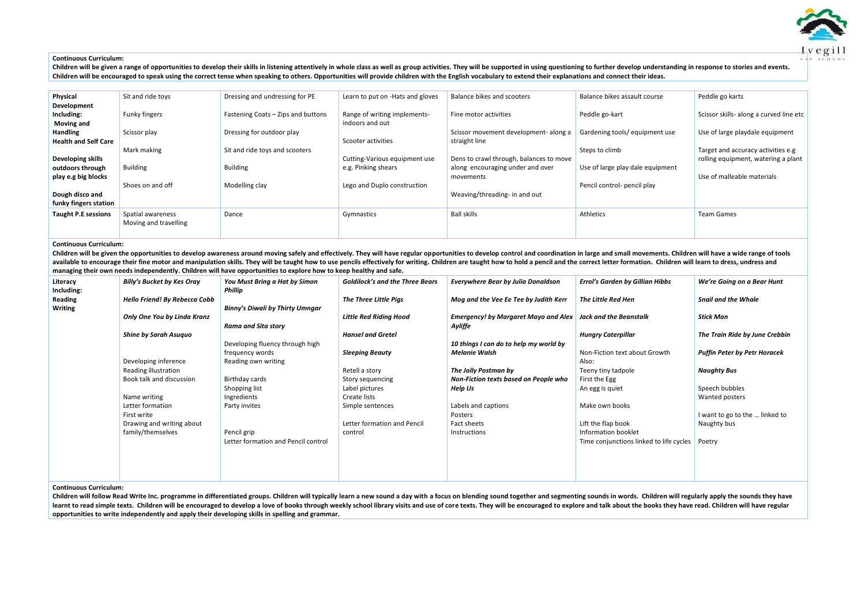### **Continuous Curriculum:**

Children will be given a range of opportunities to develop their skills in listening attentively in whole class as well as group activities. They will be supported in using questioning to further develop understanding in r **Children will be encouraged to speak using the correct tense when speaking to others. Opportunities will provide children with the English vocabulary to extend their explanations and connect their ideas.** 

| Physical                    | Sit and ride toys     | Dressing and undressing for PE     | Learn to put on -Hats and gloves | Balance bikes and scooters              | Balance bikes assault course     | Peddle go karts                         |
|-----------------------------|-----------------------|------------------------------------|----------------------------------|-----------------------------------------|----------------------------------|-----------------------------------------|
| Development                 |                       |                                    |                                  |                                         |                                  |                                         |
| Including:                  | Funky fingers         | Fastening Coats - Zips and buttons | Range of writing implements-     | Fine motor activities                   | Peddle go-kart                   | Scissor skills- along a curved line etc |
| <b>Moving and</b>           |                       |                                    | indoors and out                  |                                         |                                  |                                         |
| <b>Handling</b>             | Scissor play          | Dressing for outdoor play          |                                  | Scissor movement development- along a   | Gardening tools/equipment use    | Use of large playdale equipment         |
| <b>Health and Self Care</b> |                       |                                    | Scooter activities               | straight line                           |                                  |                                         |
|                             | Mark making           | Sit and ride toys and scooters     |                                  |                                         | Steps to climb                   | Target and accuracy activities e.g      |
| Developing skills           |                       |                                    | Cutting-Various equipment use    | Dens to crawl through, balances to move |                                  | rolling equipment, watering a plant     |
| outdoors through            | <b>Building</b>       | <b>Building</b>                    | e.g. Pinking shears              | along encouraging under and over        | Use of large play dale equipment |                                         |
| play e.g big blocks         |                       |                                    |                                  | movements                               |                                  | Use of malleable materials              |
|                             | Shoes on and off      | Modelling clay                     | Lego and Duplo construction      |                                         | Pencil control- pencil play      |                                         |
| Dough disco and             |                       |                                    |                                  | Weaving/threading- in and out           |                                  |                                         |
| funky fingers station       |                       |                                    |                                  |                                         |                                  |                                         |
| <b>Taught P.E sessions</b>  | Spatial awareness     | Dance                              | Gymnastics                       | Ball skills                             | Athletics                        | <b>Team Games</b>                       |
|                             | Moving and travelling |                                    |                                  |                                         |                                  |                                         |
|                             |                       |                                    |                                  |                                         |                                  |                                         |
|                             |                       |                                    |                                  |                                         |                                  |                                         |

Children will be given the opportunities to develop awareness around moving safely and effectively. They will have regular opportunities to develop control and coordination in large and small movements. Children will have available to encourage their fine motor and manipulation skills. They will be taught how to use pencils effectively for writing. Children are taught how to hold a pencil and the correct letter formation. Children will lear **managing their own needs independently. Children will have opportunities to explore how to keep healthy and safe.** 

## **Continuous Curriculum:**

Children will follow Read Write Inc. programme in differentiated groups. Children will typically learn a new sound a day with a focus on blending sound together and segmenting sounds in words. Children will regularly apply learnt to read simple texts. Children will be encouraged to develop a love of books through weekly school library visits and use of core texts. They will be encouraged to explore and talk about the books they have read. Ch **opportunities to write independently and apply their developing skills in spelling and grammar.** 



| Literacy<br>Including:        | <b>Billy's Bucket by Kes Oray</b>    | You Must Bring a Hat by Simon<br>Phillip | <b>Goldilock's and the Three Bears</b> | <b>Everywhere Bear by Julia Donaldson</b>                     | <b>Errol's Garden by Gillian Hibbs</b>  | We're Going on a Bear Hunt          |
|-------------------------------|--------------------------------------|------------------------------------------|----------------------------------------|---------------------------------------------------------------|-----------------------------------------|-------------------------------------|
| <b>Reading</b>                | <b>Hello Friend! By Rebecca Cobb</b> |                                          | <b>The Three Little Pigs</b>           | Mog and the Vee Ee Tee by Judith Kerr                         | The Little Red Hen                      | <b>Snail and the Whale</b>          |
| <b>Writing</b>                |                                      | <b>Binny's Diwali by Thirty Umngar</b>   |                                        |                                                               |                                         |                                     |
|                               | Only One You by Linda Kranz          |                                          | <b>Little Red Riding Hood</b>          | Emergency! by Margaret Mayo and Alex   Jack and the Beanstalk |                                         | Stick Man                           |
|                               |                                      | <b>Rama and Sita story</b>               |                                        | Ayliffe                                                       |                                         |                                     |
|                               | Shine by Sarah Asuquo                |                                          | <b>Hansel and Gretel</b>               |                                                               | <b>Hungry Caterpillar</b>               | The Train Ride by June Crebbin      |
|                               |                                      | Developing fluency through high          |                                        | 10 things I can do to help my world by                        |                                         |                                     |
|                               |                                      | frequency words                          | <b>Sleeping Beauty</b>                 | Melanie Walsh                                                 | Non-Fiction text about Growth           | <b>Puffin Peter by Petr Horacek</b> |
|                               | Developing inference                 | Reading own writing                      |                                        |                                                               | Also:                                   |                                     |
|                               | Reading illustration                 |                                          | Retell a story                         | The Jolly Postman by                                          | Teeny tiny tadpole                      | <b>Naughty Bus</b>                  |
|                               | Book talk and discussion             | Birthday cards                           | Story sequencing                       | Non-Fiction texts based on People who                         | First the Egg                           |                                     |
|                               |                                      | Shopping list                            | Label pictures                         | <b>Help Us</b>                                                | An egg is quiet                         | Speech bubbles                      |
|                               | Name writing                         | Ingredients                              | Create lists                           |                                                               |                                         | Wanted posters                      |
|                               | Letter formation                     | Party invites                            | Simple sentences                       | Labels and captions                                           | Make own books                          |                                     |
|                               | First write                          |                                          |                                        | Posters                                                       |                                         | I want to go to the  linked to      |
|                               | Drawing and writing about            |                                          | Letter formation and Pencil            | Fact sheets                                                   | Lift the flap book                      | Naughty bus                         |
|                               | family/themselves                    | Pencil grip                              | control                                | Instructions                                                  | Information booklet                     |                                     |
|                               |                                      | Letter formation and Pencil control      |                                        |                                                               | Time conjunctions linked to life cycles | Poetry                              |
|                               |                                      |                                          |                                        |                                                               |                                         |                                     |
|                               |                                      |                                          |                                        |                                                               |                                         |                                     |
|                               |                                      |                                          |                                        |                                                               |                                         |                                     |
|                               |                                      |                                          |                                        |                                                               |                                         |                                     |
| <b>Continuous Curriculum:</b> |                                      |                                          |                                        |                                                               |                                         |                                     |